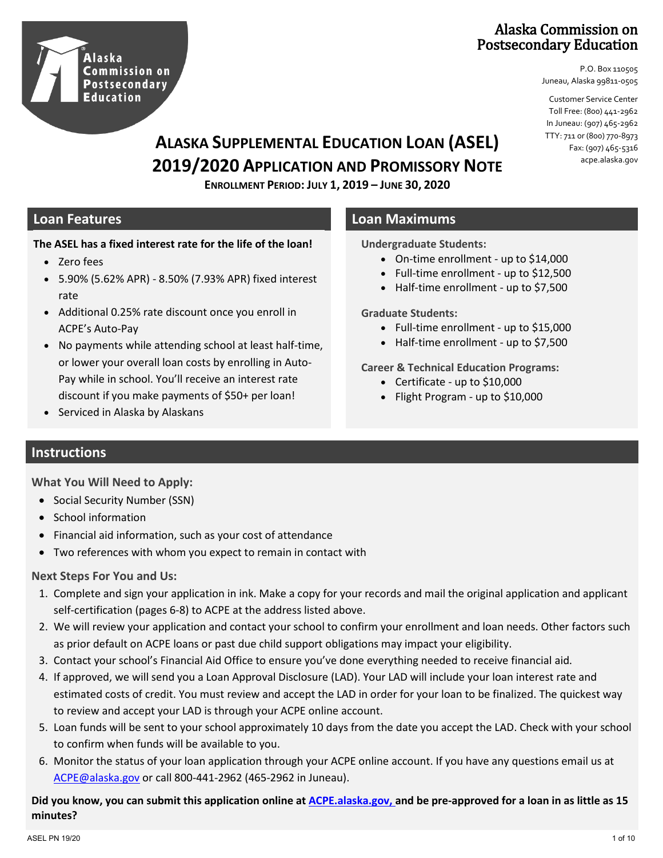

### Alaska Commission on Postsecondary Education

P.O. Box 110505 Juneau, Alaska 99811-0505

Customer Service Center Toll Free: (800) 441-2962 In Juneau: (907) 465-2962 TTY: 711 or (800) 770-8973 Fax: (907) 465-5316 acpe.alaska.gov

# **ALASKA SUPPLEMENTAL EDUCATION LOAN (ASEL) 2019/2020 APPLICATION AND PROMISSORY NOTE**

**ENROLLMENT PERIOD: JULY 1, 2019 – JUNE 30, 2020**

#### **The ASEL has a fixed interest rate for the life of the loan!**

- Zero fees
- 5.90% (5.62% APR) 8.50% (7.93% APR) fixed interest rate
- Additional 0.25% rate discount once you enroll in ACPE's Auto-Pay
- No payments while attending school at least half-time, or lower your overall loan costs by enrolling in Auto-Pay while in school. You'll receive an interest rate discount if you make payments of \$50+ per loan!
- Serviced in Alaska by Alaskans

#### **Loan Features Loan Maximums**

**Undergraduate Students:**

- On-time enrollment up to \$14,000
- Full-time enrollment up to \$12,500
- Half-time enrollment up to \$7,500

**Graduate Students:**

- Full-time enrollment up to \$15,000
- Half-time enrollment up to \$7,500

**Career & Technical Education Programs:**

- Certificate up to \$10,000
- Flight Program up to \$10,000

### **Instructions**

**What You Will Need to Apply:**

- Social Security Number (SSN)
- School information
- Financial aid information, such as your cost of attendance
- Two references with whom you expect to remain in contact with

#### **Next Steps For You and Us:**

- 1. Complete and sign your application in ink. Make a copy for your records and mail the original application and applicant self-certification (pages 6-8) to ACPE at the address listed above.
- 2. We will review your application and contact your school to confirm your enrollment and loan needs. Other factors such as prior default on ACPE loans or past due child support obligations may impact your eligibility.
- 3. Contact your school's Financial Aid Office to ensure you've done everything needed to receive financial aid.
- 4. If approved, we will send you a Loan Approval Disclosure (LAD). Your LAD will include your loan interest rate and estimated costs of credit. You must review and accept the LAD in order for your loan to be finalized. The quickest way to review and accept your LAD is through your ACPE online account.
- 5. Loan funds will be sent to your school approximately 10 days from the date you accept the LAD. Check with your school to confirm when funds will be available to you.
- 6. Monitor the status of your loan application through your ACPE online account. If you have any questions email us at [ACPE@alaska.gov](mailto:ACPE@alaska.gov) or call 800-441-2962 (465-2962 in Juneau).

**Did you know, you can submit this application online at [ACPE.alaska.gov,](https://acpe.alaska.gov/) and be pre-approved for a loan in as little as 15 minutes?**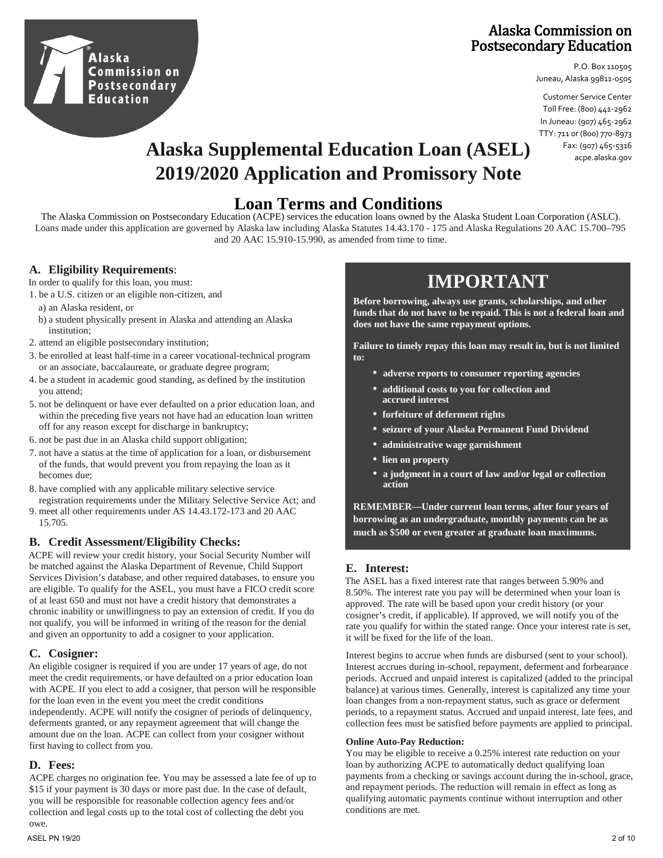

### Alaska Commission on Postsecondary Education

P.O. Box 110505 Juneau, Alaska 99811-0505

Customer Service Center Toll Free: (800) 441-2962 In Juneau: (907) 465-2962 TTY: 711 or (800) 770-8973 Fax: (907) 465-5316 acpe.alaska.gov

# **Alaska Supplemental Education Loan (ASEL) 2019/2020 Application and Promissory Note**

# **Loan Terms and Conditions**

The Alaska Commission on Postsecondary Education (ACPE) services the education loans owned by the Alaska Student Loan Corporation (ASLC). Loans made under this application are governed by Alaska law including Alaska Statutes 14.43.170 - 175 and Alaska Regulations 20 AAC 15.700–795 and 20 AAC 15.910-15.990, as amended from time to time.

#### **A. Eligibility Requirements** :

In order to qualify for this loan, you must:

- 1. be a U.S. citizen or an eligible non-citizen, and
	- a) an Alaska resident, or
	- b) a student physically present in Alaska and attending an Alaska institution;
- 2. attend an eligible postsecondary institution;
- 3. be enrolled at least half-time in a career vocational-technical program or an associate, baccalaureate, or graduate degree program;
- 4. be a student in academic good standing, as defined by the institution you attend;
- 5. not be delinquent or have ever defaulted on a prior education loan, and within the preceding five years not have had an education loan written off for any reason except for discharge in bankruptcy;
- 6. not be past due in an Alaska child support obligation;
- 7. not have a status at the time of application for a loan, or disbursement of the funds, that would prevent you from repaying the loan as it becomes due;
- 8. have complied with any applicable military selective service registration requirements under the Military Selective Service Act; and
- 9. meet all other requirements under AS 14.43.172-173 and 20 AAC 15.705.

#### **B. Credit Assessment/Eligibility Checks:**

ACPE will review your credit history, your Social Security Number will be matched against the Alaska Department of Revenue, Child Support Services Division's database, and other required databases, to ensure you are eligible. To qualify for the ASEL, you must have a FICO credit score of at least 650 and must not have a credit history that demonstrates a chronic inability or unwillingness to pay an extension of credit. If you do not qualify, you will be informed in writing of the reason for the denial and given an opportunity to add a cosigner to your application.

#### **C. Cosigner:**

An eligible cosigner is required if you are under 17 years of age, do not meet the credit requirements, or have defaulted on a prior education loan with ACPE. If you elect to add a cosigner, that person will be responsible for the loan even in the event you meet the credit conditions independently. ACPE will notify the cosigner of periods of delinquency, deferments granted, or any repayment agreement that will change the amount due on the loan. ACPE can collect from your cosigner without first having to collect from you.

#### **D. Fees:**

ACPE charges no origination fee. You may be assessed a late fee of up to \$15 if your payment is 30 days or more past due. In the case of default, you will be responsible for reasonable collection agency fees and/or collection and legal costs up to the total cost of collecting the debt you owe.

# **IMPORTANT**

**Before borrowing, always use grants, scholarships, and other funds that do not have to be repaid. This is not a federal loan and does not have the same repayment options.**

**Failure to timely repay this loan may result in, but is not limited to:**

- **• adverse reports to consumer reporting agencies**
- **• additional costs to you for collection and accrued interest**
- **• forfeiture of deferment rights**
- **• seizure of your Alaska Permanent Fund Dividend**
- **• administrative wage garnishment**
- **• lien on property**
- **• a judgment in a court of law and/or legal or collection action**

**REMEMBER—Under current loan terms, after four years of borrowing as an undergraduate, monthly payments can be as much as \$500 or even greater at graduate loan maximums.**

#### **E. Interest:**

The ASEL has a fixed interest rate that ranges between 5.90% and 8.50%. The interest rate you pay will be determined when your loan is approved. The rate will be based upon your credit history (or your cosigner's credit, if applicable). If approved, we will notify you of the rate you qualify for within the stated range. Once your interest rate is set, it will be fixed for the life of the loan.

Interest begins to accrue when funds are disbursed (sent to your school). Interest accrues during in-school, repayment, deferment and forbearance periods. Accrued and unpaid interest is capitalized (added to the principal balance) at various times. Generally, interest is capitalized any time your loan changes from a non-repayment status, such as grace or deferment periods, to a repayment status. Accrued and unpaid interest, late fees, and collection fees must be satisfied before payments are applied to principal.

#### **Online Auto-Pay Reduction:**

You may be eligible to receive a 0.25% interest rate reduction on your loan by authorizing ACPE to automatically deduct qualifying loan payments from a checking or savings account during the in-school, grace, and repayment periods. The reduction will remain in effect as long as qualifying automatic payments continue without interruption and other conditions are met.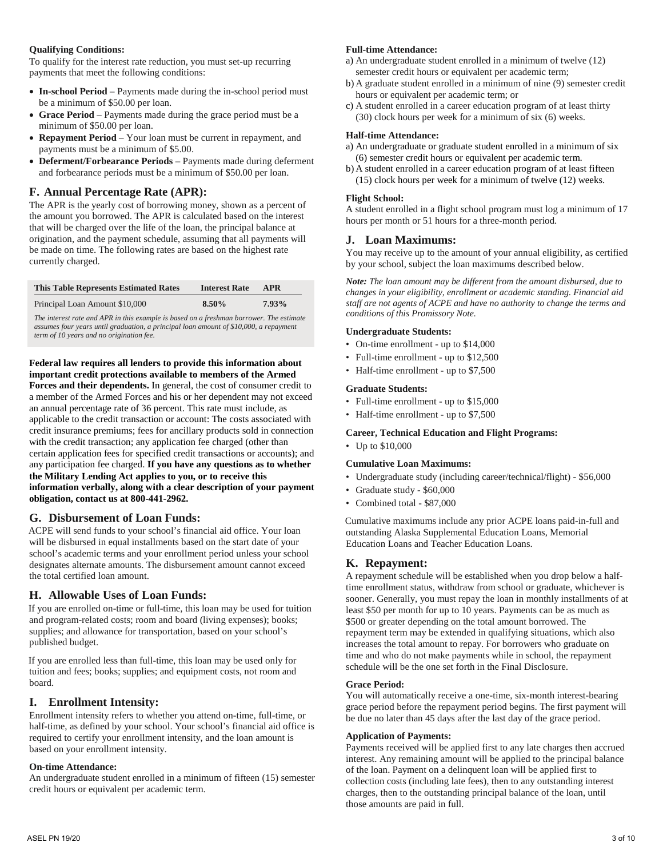#### **Qualifying Conditions:**

To qualify for the interest rate reduction, you must set-up recurring payments that meet the following conditions:

- **In-school Period** Payments made during the in-school period must be a minimum of \$50.00 per loan.
- **Grace Period** Payments made during the grace period must be a minimum of \$50.00 per loan.
- **Repayment Period** Your loan must be current in repayment, and payments must be a minimum of \$5.00.
- **Deferment/Forbearance Periods**  Payments made during deferment and forbearance periods must be a minimum of \$50.00 per loan.

#### **F. Annual Percentage Rate (APR):**

The APR is the yearly cost of borrowing money, shown as a percent of the amount you borrowed. The APR is calculated based on the interest that will be charged over the life of the loan, the principal balance at origination, and the payment schedule, assuming that all payments will be made on time. The following rates are based on the highest rate currently charged.

| <b>This Table Represents Estimated Rates</b> | <b>Interest Rate</b> | APR   |
|----------------------------------------------|----------------------|-------|
| Principal Loan Amount \$10,000               | $8.50\%$             | 7.93% |
|                                              |                      |       |

*The interest rate and APR in this example is based on a freshman borrower. The estimate assumes four years until graduation, a principal loan amount of \$10,000, a repayment term of 10 years and no origination fee.*

#### **Federal law requires all lenders to provide this information about important credit protections available to members of the Armed**

**Forces and their dependents.** In general, the cost of consumer credit to a member of the Armed Forces and his or her dependent may not exceed an annual percentage rate of 36 percent. This rate must include, as applicable to the credit transaction or account: The costs associated with credit insurance premiums; fees for ancillary products sold in connection with the credit transaction; any application fee charged (other than certain application fees for specified credit transactions or accounts); and any participation fee charged. **If you have any questions as to whether the Military Lending Act applies to you, or to receive this information verbally, along with a clear description of your payment obligation, contact us at 800-441-2962.**

#### **G. Disbursement of Loan Funds:**

ACPE will send funds to your school's financial aid office. Your loan will be disbursed in equal installments based on the start date of your school's academic terms and your enrollment period unless your school designates alternate amounts. The disbursement amount cannot exceed the total certified loan amount.

#### **H. Allowable Uses of Loan Funds:**

If you are enrolled on-time or full-time, this loan may be used for tuition and program-related costs; room and board (living expenses); books; supplies; and allowance for transportation, based on your school's published budget.

If you are enrolled less than full-time, this loan may be used only for tuition and fees; books; supplies; and equipment costs, not room and board.

#### **I. Enrollment Intensity:**

Enrollment intensity refers to whether you attend on-time, full-time, or half-time, as defined by your school. Your school's financial aid office is required to certify your enrollment intensity, and the loan amount is based on your enrollment intensity.

#### **On-time Attendance:**

An undergraduate student enrolled in a minimum of fifteen (15) semester credit hours or equivalent per academic term.

#### **Full-time Attendance:**

- a) An undergraduate student enrolled in a minimum of twelve (12) semester credit hours or equivalent per academic term;
- b) A graduate student enrolled in a minimum of nine (9) semester credit hours or equivalent per academic term; or
- c) A student enrolled in a career education program of at least thirty (30) clock hours per week for a minimum of six (6) weeks.

#### **Half-time Attendance:**

- a) An undergraduate or graduate student enrolled in a minimum of six (6) semester credit hours or equivalent per academic term.
- b) A student enrolled in a career education program of at least fifteen (15) clock hours per week for a minimum of twelve (12) weeks.

#### **Flight School:**

A student enrolled in a flight school program must log a minimum of 17 hours per month or 51 hours for a three-month period.

#### **J. Loan Maximums:**

You may receive up to the amount of your annual eligibility, as certified by your school, subject the loan maximums described below.

*Note: The loan amount may be different from the amount disbursed, due to changes in your eligibility, enrollment or academic standing. Financial aid staff are not agents of ACPE and have no authority to change the terms and conditions of this Promissory Note.*

#### **Undergraduate Students:**

- On-time enrollment up to \$14,000
- Full-time enrollment up to \$12,500
- Half-time enrollment up to \$7,500

#### **Graduate Students:**

- Full-time enrollment up to \$15,000
- Half-time enrollment up to \$7,500

#### **Career, Technical Education and Flight Programs:**

• Up to \$10,000

#### **Cumulative Loan Maximums:**

- Undergraduate study (including career/technical/flight) \$56,000
- Graduate study \$60,000
- Combined total \$87,000

Cumulative maximums include any prior ACPE loans paid-in-full and outstanding Alaska Supplemental Education Loans, Memorial Education Loans and Teacher Education Loans.

#### **K. Repayment:**

A repayment schedule will be established when you drop below a halftime enrollment status, withdraw from school or graduate, whichever is sooner. Generally, you must repay the loan in monthly installments of at least \$50 per month for up to 10 years. Payments can be as much as \$500 or greater depending on the total amount borrowed. The repayment term may be extended in qualifying situations, which also increases the total amount to repay. For borrowers who graduate on time and who do not make payments while in school, the repayment schedule will be the one set forth in the Final Disclosure.

#### **Grace Period:**

You will automatically receive a one-time, six-month interest-bearing grace period before the repayment period begins. The first payment will be due no later than 45 days after the last day of the grace period.

#### **Application of Payments:**

Payments received will be applied first to any late charges then accrued interest. Any remaining amount will be applied to the principal balance of the loan. Payment on a delinquent loan will be applied first to collection costs (including late fees), then to any outstanding interest charges, then to the outstanding principal balance of the loan, until those amounts are paid in full.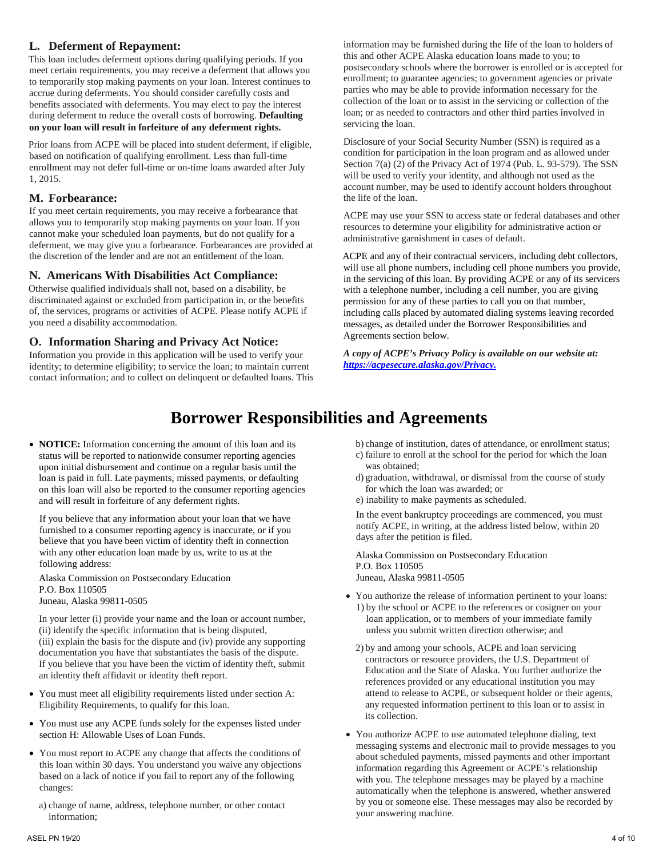#### **L. Deferment of Repayment:**

This loan includes deferment options during qualifying periods. If you meet certain requirements, you may receive a deferment that allows you to temporarily stop making payments on your loan. Interest continues to accrue during deferments. You should consider carefully costs and benefits associated with deferments. You may elect to pay the interest during deferment to reduce the overall costs of borrowing. **Defaulting on your loan will result in forfeiture of any deferment rights.**

Prior loans from ACPE will be placed into student deferment, if eligible, based on notification of qualifying enrollment. Less than full-time enrollment may not defer full-time or on-time loans awarded after July 1, 2015.

#### **M. Forbearance:**

If you meet certain requirements, you may receive a forbearance that allows you to temporarily stop making payments on your loan. If you cannot make your scheduled loan payments, but do not qualify for a deferment, we may give you a forbearance. Forbearances are provided at the discretion of the lender and are not an entitlement of the loan.

#### **N. Americans With Disabilities Act Compliance:**

Otherwise qualified individuals shall not, based on a disability, be discriminated against or excluded from participation in, or the benefits of, the services, programs or activities of ACPE. Please notify ACPE if you need a disability accommodation.

#### **O. Information Sharing and Privacy Act Notice:**

Information you provide in this application will be used to verify your identity; to determine eligibility; to service the loan; to maintain current contact information; and to collect on delinquent or defaulted loans. This

information may be furnished during the life of the loan to holders of this and other ACPE Alaska education loans made to you; to postsecondary schools where the borrower is enrolled or is accepted for enrollment; to guarantee agencies; to government agencies or private parties who may be able to provide information necessary for the collection of the loan or to assist in the servicing or collection of the loan; or as needed to contractors and other third parties involved in servicing the loan.

Disclosure of your Social Security Number (SSN) is required as a condition for participation in the loan program and as allowed under Section 7(a) (2) of the Privacy Act of 1974 (Pub. L. 93-579). The SSN will be used to verify your identity, and although not used as the account number, may be used to identify account holders throughout the life of the loan.

ACPE may use your SSN to access state or federal databases and other resources to determine your eligibility for administrative action or administrative garnishment in cases of default.

ACPE and any of their contractual servicers, including debt collectors, will use all phone numbers, including cell phone numbers you provide, in the servicing of this loan. By providing ACPE or any of its servicers with a telephone number, including a cell number, you are giving permission for any of these parties to call you on that number, including calls placed by automated dialing systems leaving recorded messages, as detailed under the Borrower Responsibilities and Agreements section below.

*A copy of ACPE's Privacy Policy is available on our website at: [https://acpesecure.alaska.gov/Privacy.](https://acpesecure.alaska.gov/Privacy)* 

## **Borrower Responsibilities and Agreements**

• **NOTICE:** Information concerning the amount of this loan and its status will be reported to nationwide consumer reporting agencies upon initial disbursement and continue on a regular basis until the loan is paid in full. Late payments, missed payments, or defaulting on this loan will also be reported to the consumer reporting agencies and will result in forfeiture of any deferment rights.

If you believe that any information about your loan that we have furnished to a consumer reporting agency is inaccurate, or if you believe that you have been victim of identity theft in connection with any other education loan made by us, write to us at the following address:

Alaska Commission on Postsecondary Education P.O. Box 110505 Juneau, Alaska 99811-0505

In your letter (i) provide your name and the loan or account number, (ii) identify the specific information that is being disputed, (iii) explain the basis for the dispute and (iv) provide any supporting documentation you have that substantiates the basis of the dispute. If you believe that you have been the victim of identity theft, submit an identity theft affidavit or identity theft report.

- You must meet all eligibility requirements listed under section A: Eligibility Requirements, to qualify for this loan.
- You must use any ACPE funds solely for the expenses listed under section H: Allowable Uses of Loan Funds.
- You must report to ACPE any change that affects the conditions of this loan within 30 days. You understand you waive any objections based on a lack of notice if you fail to report any of the following changes:
	- a) change of name, address, telephone number, or other contact information;
- b) change of institution, dates of attendance, or enrollment status;
- c) failure to enroll at the school for the period for which the loan was obtained;
- d) graduation, withdrawal, or dismissal from the course of study for which the loan was awarded; or
- e) inability to make payments as scheduled.

In the event bankruptcy proceedings are commenced, you must notify ACPE, in writing, at the address listed below, within 20 days after the petition is filed.

Alaska Commission on Postsecondary Education P.O. Box 110505 Juneau, Alaska 99811-0505

- You authorize the release of information pertinent to your loans: 1) by the school or ACPE to the references or cosigner on your loan application, or to members of your immediate family unless you submit written direction otherwise; and
	- 2) by and among your schools, ACPE and loan servicing contractors or resource providers, the U.S. Department of Education and the State of Alaska. You further authorize the references provided or any educational institution you may attend to release to ACPE, or subsequent holder or their agents, any requested information pertinent to this loan or to assist in its collection.
- You authorize ACPE to use automated telephone dialing, text messaging systems and electronic mail to provide messages to you about scheduled payments, missed payments and other important information regarding this Agreement or ACPE's relationship with you. The telephone messages may be played by a machine automatically when the telephone is answered, whether answered by you or someone else. These messages may also be recorded by your answering machine.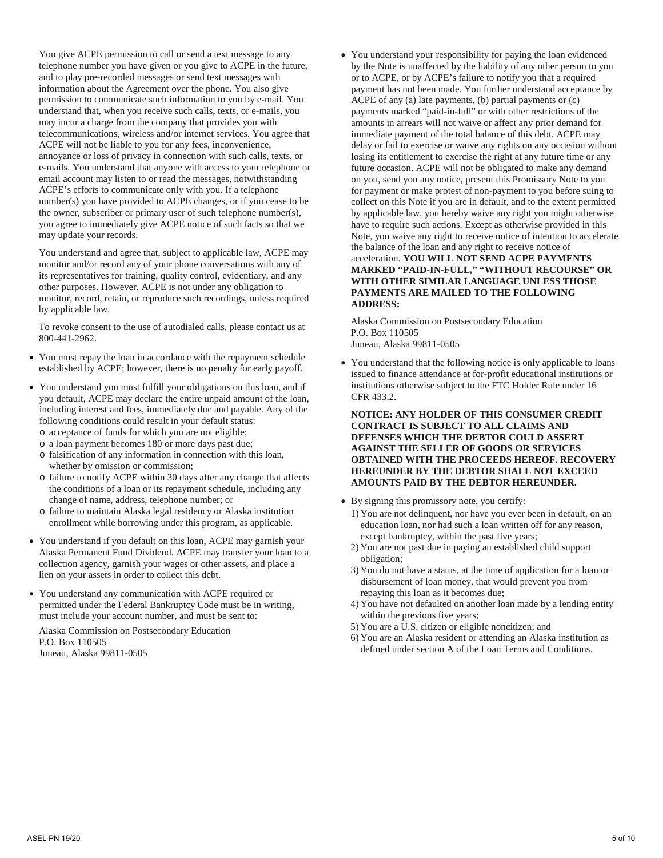You give ACPE permission to call or send a text message to any telephone number you have given or you give to ACPE in the future, and to play pre-recorded messages or send text messages with information about the Agreement over the phone. You also give permission to communicate such information to you by e-mail. You understand that, when you receive such calls, texts, or e-mails, you may incur a charge from the company that provides you with telecommunications, wireless and/or internet services. You agree that ACPE will not be liable to you for any fees, inconvenience, annoyance or loss of privacy in connection with such calls, texts, or e-mails. You understand that anyone with access to your telephone or email account may listen to or read the messages, notwithstanding ACPE's efforts to communicate only with you. If a telephone number(s) you have provided to ACPE changes, or if you cease to be the owner, subscriber or primary user of such telephone number(s), you agree to immediately give ACPE notice of such facts so that we may update your records.

You understand and agree that, subject to applicable law, ACPE may monitor and/or record any of your phone conversations with any of its representatives for training, quality control, evidentiary, and any other purposes. However, ACPE is not under any obligation to monitor, record, retain, or reproduce such recordings, unless required by applicable law.

To revoke consent to the use of autodialed calls, please contact us at 800-441-2962.

- You must repay the loan in accordance with the repayment schedule established by ACPE; however, there is no penalty for early payoff.
- You understand you must fulfill your obligations on this loan, and if you default, ACPE may declare the entire unpaid amount of the loan, including interest and fees, immediately due and payable. Any of the following conditions could result in your default status:
	- o acceptance of funds for which you are not eligible;
	- o a loan payment becomes 180 or more days past due;
	- o falsification of any information in connection with this loan, whether by omission or commission;
	- o failure to notify ACPE within 30 days after any change that affects the conditions of a loan or its repayment schedule, including any change of name, address, telephone number; or
	- o failure to maintain Alaska legal residency or Alaska institution enrollment while borrowing under this program, as applicable.
- You understand if you default on this loan, ACPE may garnish your Alaska Permanent Fund Dividend. ACPE may transfer your loan to a collection agency, garnish your wages or other assets, and place a lien on your assets in order to collect this debt.
- You understand any communication with ACPE required or permitted under the Federal Bankruptcy Code must be in writing, must include your account number, and must be sent to:

Alaska Commission on Postsecondary Education P.O. Box 110505 Juneau, Alaska 99811-0505

• You understand your responsibility for paying the loan evidenced by the Note is unaffected by the liability of any other person to you or to ACPE, or by ACPE's failure to notify you that a required payment has not been made. You further understand acceptance by ACPE of any (a) late payments, (b) partial payments or (c) payments marked "paid-in-full" or with other restrictions of the amounts in arrears will not waive or affect any prior demand for immediate payment of the total balance of this debt. ACPE may delay or fail to exercise or waive any rights on any occasion without losing its entitlement to exercise the right at any future time or any future occasion. ACPE will not be obligated to make any demand on you, send you any notice, present this Promissory Note to you for payment or make protest of non-payment to you before suing to collect on this Note if you are in default, and to the extent permitted by applicable law, you hereby waive any right you might otherwise have to require such actions. Except as otherwise provided in this Note, you waive any right to receive notice of intention to accelerate the balance of the loan and any right to receive notice of acceleration. **YOU WILL NOT SEND ACPE PAYMENTS MARKED "PAID-IN-FULL," "WITHOUT RECOURSE" OR WITH OTHER SIMILAR LANGUAGE UNLESS THOSE PAYMENTS ARE MAILED TO THE FOLLOWING ADDRESS:**

Alaska Commission on Postsecondary Education P.O. Box 110505 Juneau, Alaska 99811-0505

• You understand that the following notice is only applicable to loans issued to finance attendance at for-profit educational institutions or institutions otherwise subject to the FTC Holder Rule under 16 CFR 433.2.

#### **NOTICE: ANY HOLDER OF THIS CONSUMER CREDIT CONTRACT IS SUBJECT TO ALL CLAIMS AND DEFENSES WHICH THE DEBTOR COULD ASSERT AGAINST THE SELLER OF GOODS OR SERVICES OBTAINED WITH THE PROCEEDS HEREOF. RECOVERY HEREUNDER BY THE DEBTOR SHALL NOT EXCEED AMOUNTS PAID BY THE DEBTOR HEREUNDER.**

- By signing this promissory note, you certify:
	- 1) You are not delinquent, nor have you ever been in default, on an education loan, nor had such a loan written off for any reason, except bankruptcy, within the past five years;
	- 2) You are not past due in paying an established child support obligation;
	- 3) You do not have a status, at the time of application for a loan or disbursement of loan money, that would prevent you from repaying this loan as it becomes due;
	- 4) You have not defaulted on another loan made by a lending entity within the previous five years;
	- 5) You are a U.S. citizen or eligible noncitizen; and
	- 6) You are an Alaska resident or attending an Alaska institution as defined under section A of the Loan Terms and Conditions.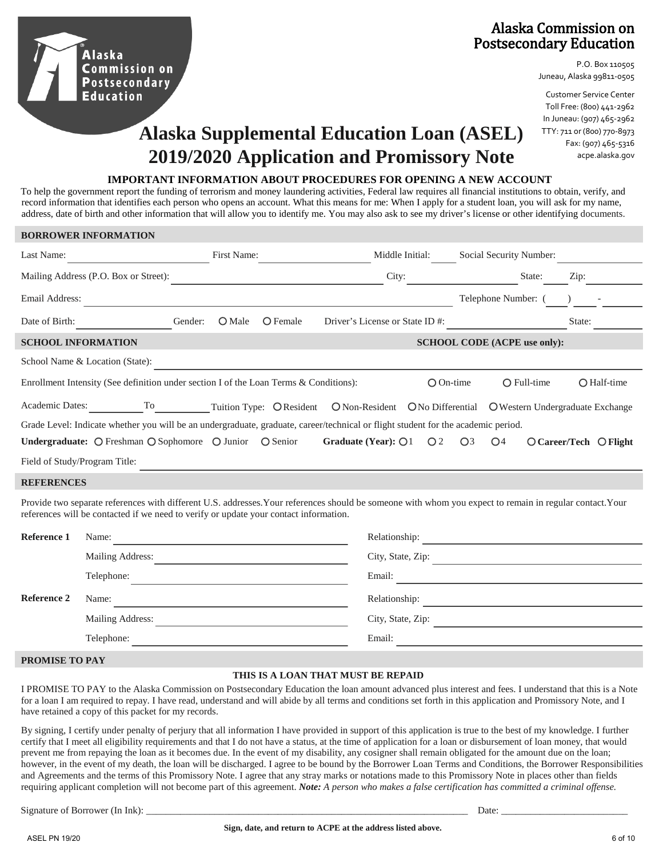### Alaska Commission on Postsecondary Education

P.O. Box 110505 Juneau, Alaska 99811-0505

Customer Service Center Toll Free: (800) 441-2962 In Juneau: (907) 465-2962 TTY: 711 or (800) 770-8973 Fax: (907) 465-5316 acpe.alaska.gov

# **Alaska Supplemental Education Loan (ASEL) 2019/2020 Application and Promissory Note**

#### **IMPORTANT INFORMATION ABOUT PROCEDURES FOR OPENING A NEW ACCOUNT**

To help the government report the funding of terrorism and money laundering activities, Federal law requires all financial institutions to obtain, verify, and record information that identifies each person who opens an account. What this means for me: When I apply for a student loan, you will ask for my name, address, date of birth and other information that will allow you to identify me. You may also ask to see my driver's license or other identifying documents.

|                               | <b>BORROWER INFORMATION</b>                                                           |                                                                                                                                                                                                                                                                                                                                                                                                               |                                                                                                                                                          |                                     |                        |
|-------------------------------|---------------------------------------------------------------------------------------|---------------------------------------------------------------------------------------------------------------------------------------------------------------------------------------------------------------------------------------------------------------------------------------------------------------------------------------------------------------------------------------------------------------|----------------------------------------------------------------------------------------------------------------------------------------------------------|-------------------------------------|------------------------|
| Last Name:                    |                                                                                       | First Name:                                                                                                                                                                                                                                                                                                                                                                                                   | Middle Initial:                                                                                                                                          | Social Security Number:             |                        |
|                               | Mailing Address (P.O. Box or Street):                                                 |                                                                                                                                                                                                                                                                                                                                                                                                               |                                                                                                                                                          | City: State:                        | Zip:                   |
| Email Address:                |                                                                                       | <u> 1989 - Andrea Santa Andrea Andrea Santa Andrea Andrea Andrea Andrea Andrea Andrea Andrea Andrea Andrea Andre</u>                                                                                                                                                                                                                                                                                          |                                                                                                                                                          | Telephone Number: (                 |                        |
| Date of Birth:                | Gender:                                                                               | $O$ Male<br>$\bigcirc$ Female                                                                                                                                                                                                                                                                                                                                                                                 | Driver's License or State ID #:                                                                                                                          |                                     | State:                 |
|                               | <b>SCHOOL INFORMATION</b>                                                             |                                                                                                                                                                                                                                                                                                                                                                                                               |                                                                                                                                                          | <b>SCHOOL CODE (ACPE use only):</b> |                        |
|                               | School Name & Location (State):                                                       | <u> 1980 - Johann Barbara, martxa alemaniar a</u>                                                                                                                                                                                                                                                                                                                                                             |                                                                                                                                                          |                                     |                        |
|                               | Enrollment Intensity (See definition under section I of the Loan Terms & Conditions): |                                                                                                                                                                                                                                                                                                                                                                                                               | $O On-time$                                                                                                                                              | $O$ Full-time                       | O Half-time            |
|                               |                                                                                       |                                                                                                                                                                                                                                                                                                                                                                                                               | Academic Dates: ____________To___________Tuition Type: OResident ONon-Resident ONo Differential OWestern Undergraduate Exchange                          |                                     |                        |
|                               |                                                                                       |                                                                                                                                                                                                                                                                                                                                                                                                               | Grade Level: Indicate whether you will be an undergraduate, graduate, career/technical or flight student for the academic period.                        |                                     |                        |
|                               | Undergraduate: O Freshman O Sophomore O Junior O Senior                               |                                                                                                                                                                                                                                                                                                                                                                                                               | Graduate (Year): $\bigcirc$ 1<br>O <sub>2</sub>                                                                                                          | O <sub>4</sub><br>$\bigcirc$ 3      | O Career/Tech O Flight |
| Field of Study/Program Title: |                                                                                       |                                                                                                                                                                                                                                                                                                                                                                                                               |                                                                                                                                                          |                                     |                        |
| <b>REFERENCES</b>             |                                                                                       |                                                                                                                                                                                                                                                                                                                                                                                                               |                                                                                                                                                          |                                     |                        |
|                               | references will be contacted if we need to verify or update your contact information. |                                                                                                                                                                                                                                                                                                                                                                                                               | Provide two separate references with different U.S. addresses. Your references should be someone with whom you expect to remain in regular contact. Your |                                     |                        |
| Reference 1                   |                                                                                       | Name: $\frac{1}{\sqrt{1-\frac{1}{2}}\sqrt{1-\frac{1}{2}}\sqrt{1-\frac{1}{2}}\sqrt{1-\frac{1}{2}}\sqrt{1-\frac{1}{2}}\sqrt{1-\frac{1}{2}}\sqrt{1-\frac{1}{2}}\sqrt{1-\frac{1}{2}}\sqrt{1-\frac{1}{2}}\sqrt{1-\frac{1}{2}}\sqrt{1-\frac{1}{2}}\sqrt{1-\frac{1}{2}}\sqrt{1-\frac{1}{2}}\sqrt{1-\frac{1}{2}}\sqrt{1-\frac{1}{2}}\sqrt{1-\frac{1}{2}}\sqrt{1-\frac{1}{2}}\sqrt{1-\frac{1}{2}}\sqrt{1-\frac{1}{2}}$ |                                                                                                                                                          |                                     |                        |
|                               |                                                                                       |                                                                                                                                                                                                                                                                                                                                                                                                               |                                                                                                                                                          | City, State, Zip:                   |                        |
|                               | Telephone:                                                                            | <u> 1989 - Johann Stein, mars eta biztanleria (</u>                                                                                                                                                                                                                                                                                                                                                           |                                                                                                                                                          |                                     |                        |
| <b>Reference 2</b>            | Name:                                                                                 |                                                                                                                                                                                                                                                                                                                                                                                                               |                                                                                                                                                          |                                     |                        |
|                               | Mailing Address:                                                                      |                                                                                                                                                                                                                                                                                                                                                                                                               | City, State, Zip:                                                                                                                                        |                                     |                        |

**PROMISE TO PAY**

Telephone:

Alaska

**Commission on Postsecondary Education** 

#### **THIS IS A LOAN THAT MUST BE REPAID**

Email:

I PROMISE TO PAY to the Alaska Commission on Postsecondary Education the loan amount advanced plus interest and fees. I understand that this is a Note for a loan I am required to repay. I have read, understand and will abide by all terms and conditions set forth in this application and Promissory Note, and I have retained a copy of this packet for my records.

By signing, I certify under penalty of perjury that all information I have provided in support of this application is true to the best of my knowledge. I further certify that I meet all eligibility requirements and that I do not have a status, at the time of application for a loan or disbursement of loan money, that would prevent me from repaying the loan as it becomes due. In the event of my disability, any cosigner shall remain obligated for the amount due on the loan; however, in the event of my death, the loan will be discharged. I agree to be bound by the Borrower Loan Terms and Conditions, the Borrower Responsibilities and Agreements and the terms of this Promissory Note. I agree that any stray marks or notations made to this Promissory Note in places other than fields requiring applicant completion will not become part of this agreement. *Note: A person who makes a false certification has committed a criminal offense.*

Signature of Borrower (In Ink): \_\_\_\_\_\_\_\_\_\_\_\_\_\_\_\_\_\_\_\_\_\_\_\_\_\_\_\_\_\_\_\_\_\_\_\_\_\_\_\_\_\_\_\_\_\_\_\_\_\_\_\_\_\_\_\_\_\_\_\_\_\_\_\_\_\_ Date: \_\_\_\_\_\_\_\_\_\_\_\_\_\_\_\_\_\_\_\_\_\_\_\_\_\_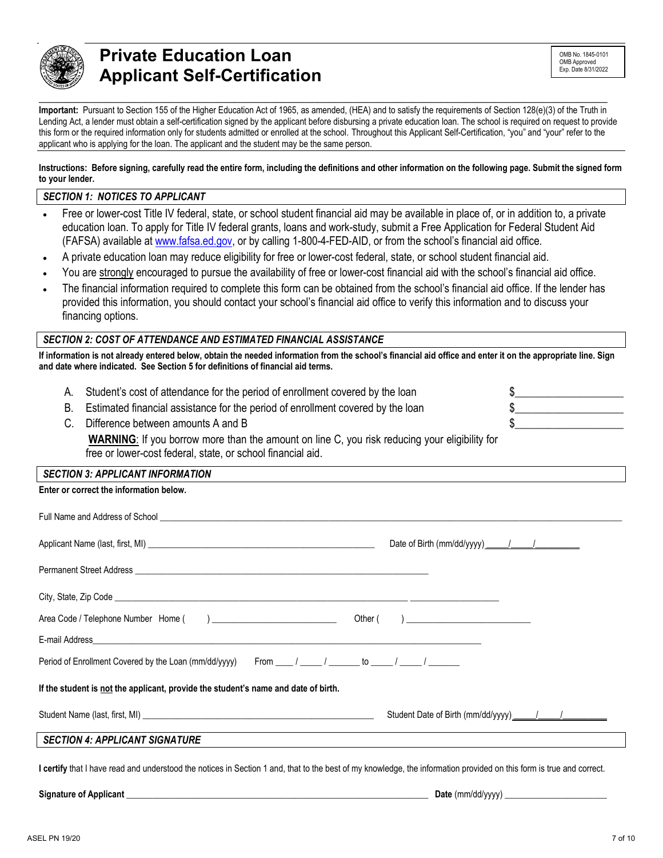

# **\_\_\_\_\_\_\_\_\_\_\_\_\_\_\_\_\_\_\_\_\_\_\_\_\_\_\_\_\_\_\_\_\_\_\_\_\_\_\_\_\_\_\_\_\_\_\_\_\_\_\_\_\_\_\_\_\_\_\_\_\_\_\_\_\_\_\_\_\_\_\_\_\_\_\_\_\_\_\_\_\_\_\_\_\_\_\_\_\_\_\_\_\_\_\_\_ Private Education Loan Applicant Self-Certification**

**Important:** Pursuant to Section 155 of the Higher Education Act of 1965, as amended, (HEA) and to satisfy the requirements of Section 128(e)(3) of the Truth in Lending Act, a lender must obtain a self-certification signed by the applicant before disbursing a private education loan. The school is required on request to provide this form or the required information only for students admitted or enrolled at the school. Throughout this Applicant Self-Certification, "you" and "your" refer to the applicant who is applying for the loan. The applicant and the student may be the same person.

**Instructions: Before signing, carefully read the entire form, including the definitions and other information on the following page. Submit the signed form to your lender.** 

#### *SECTION 1: NOTICES TO APPLICANT*

- Free or lower-cost Title IV federal, state, or school student financial aid may be available in place of, or in addition to, a private education loan. To apply for Title IV federal grants, loans and work-study, submit a Free Application for Federal Student Aid (FAFSA) available at [www.fafsa.ed.gov,](http://www.fafsa.ed.gov/) or by calling 1-800-4-FED-AID, or from the school's financial aid office.
- A private education loan may reduce eligibility for free or lower-cost federal, state, or school student financial aid.
- You are strongly encouraged to pursue the availability of free or lower-cost financial aid with the school's financial aid office.
- The financial information required to complete this form can be obtained from the school's financial aid office. If the lender has provided this information, you should contact your school's financial aid office to verify this information and to discuss your financing options.

#### *SECTION 2: COST OF ATTENDANCE AND ESTIMATED FINANCIAL ASSISTANCE*

**If information is not already entered below, obtain the needed information from the school's financial aid office and enter it on the appropriate line. Sign and date where indicated. See Section 5 for definitions of financial aid terms.**

|             | A. Student's cost of attendance for the period of enrollment covered by the loan                     |  |
|-------------|------------------------------------------------------------------------------------------------------|--|
|             | B. Estimated financial assistance for the period of enrollment covered by the loan                   |  |
| $C_{\cdot}$ | Difference between amounts A and B                                                                   |  |
|             | <b>WARNING:</b> If you borrow more than the amount on line C, you risk reducing your eligibility for |  |

### free or lower-cost federal, state, or school financial aid.

#### *SECTION 3: APPLICANT INFORMATION*

| Enter or correct the information below.                                                                                                                              |                                            |
|----------------------------------------------------------------------------------------------------------------------------------------------------------------------|--------------------------------------------|
|                                                                                                                                                                      |                                            |
|                                                                                                                                                                      | Date of Birth (mm/dd/yyyy) ______/ ______/ |
|                                                                                                                                                                      |                                            |
|                                                                                                                                                                      |                                            |
|                                                                                                                                                                      |                                            |
|                                                                                                                                                                      |                                            |
| Period of Enrollment Covered by the Loan (mm/dd/yyyy) From ____ / _____ / ______ to _____ / ______ /                                                                 |                                            |
| If the student is not the applicant, provide the student's name and date of birth.                                                                                   |                                            |
|                                                                                                                                                                      |                                            |
| <b>SECTION 4: APPLICANT SIGNATURE</b>                                                                                                                                |                                            |
| I certify that I have read and understood the notices in Section 1 and, that to the best of my knowledge, the information provided on this form is true and correct. |                                            |

**Signature of Applicant** \_\_\_\_\_\_\_\_\_\_\_\_\_\_\_\_\_\_\_\_\_\_\_\_\_\_\_\_\_\_\_\_\_\_\_\_\_\_\_\_\_\_\_\_\_\_\_\_\_\_\_\_\_\_\_\_\_\_\_\_\_\_\_\_\_\_\_\_ **Date** (mm/dd/yyyy) \_\_\_\_\_\_\_\_\_\_\_\_\_\_\_\_\_\_\_\_\_\_\_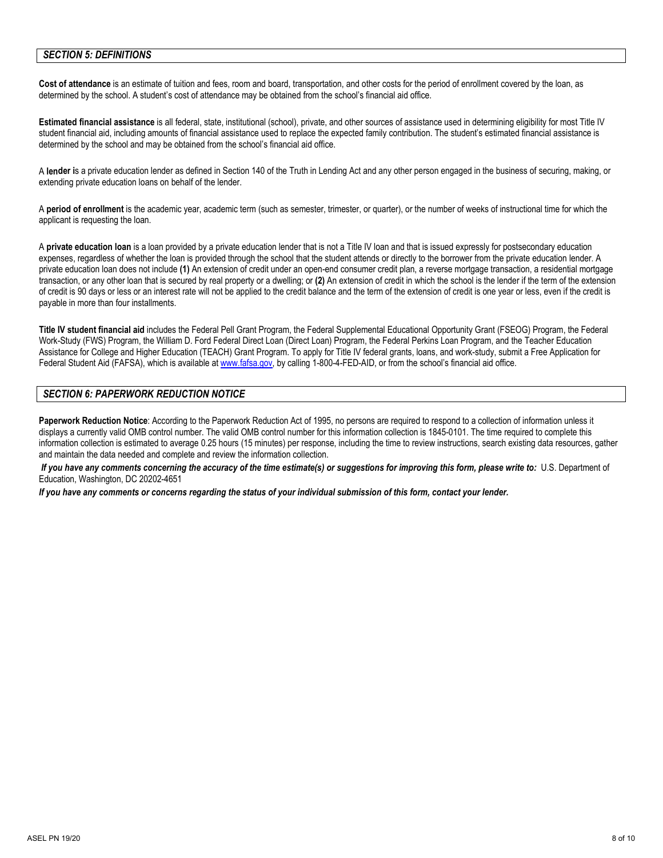#### *SECTION 5: DEFINITIONS*

**Cost of attendance** is an estimate of tuition and fees, room and board, transportation, and other costs for the period of enrollment covered by the loan, as determined by the school. A student's cost of attendance may be obtained from the school's financial aid office.

**Estimated financial assistance** is all federal, state, institutional (school), private, and other sources of assistance used in determining eligibility for most Title IV student financial aid, including amounts of financial assistance used to replace the expected family contribution. The student's estimated financial assistance is determined by the school and may be obtained from the school's financial aid office.

A **lender i**s a private education lender as defined in Section 140 of the Truth in Lending Act and any other person engaged in the business of securing, making, or extending private education loans on behalf of the lender.

A **period of enrollment** is the academic year, academic term (such as semester, trimester, or quarter), or the number of weeks of instructional time for which the applicant is requesting the loan.

A **private education loan** is a loan provided by a private education lender that is not a Title IV loan and that is issued expressly for postsecondary education expenses, regardless of whether the loan is provided through the school that the student attends or directly to the borrower from the private education lender. A private education loan does not include **(1)** An extension of credit under an open-end consumer credit plan, a reverse mortgage transaction, a residential mortgage transaction, or any other loan that is secured by real property or a dwelling; or **(2)** An extension of credit in which the school is the lender if the term of the extension of credit is 90 days or less or an interest rate will not be applied to the credit balance and the term of the extension of credit is one year or less, even if the credit is payable in more than four installments.

**Title IV student financial aid** includes the Federal Pell Grant Program, the Federal Supplemental Educational Opportunity Grant (FSEOG) Program, the Federal Work-Study (FWS) Program, the William D. Ford Federal Direct Loan (Direct Loan) Program, the Federal Perkins Loan Program, and the Teacher Education Assistance for College and Higher Education (TEACH) Grant Program. To apply for Title IV federal grants, loans, and work-study, submit a Free Application for Federal Student Aid (FAFSA), which is available at [www.fafsa.gov,](http://www.fafsa.gov/) by calling 1-800-4-FED-AID, or from the school's financial aid office.

#### *SECTION 6: PAPERWORK REDUCTION NOTICE*

**Paperwork Reduction Notice**: According to the Paperwork Reduction Act of 1995, no persons are required to respond to a collection of information unless it displays a currently valid OMB control number. The valid OMB control number for this information collection is 1845-0101. The time required to complete this information collection is estimated to average 0.25 hours (15 minutes) per response, including the time to review instructions, search existing data resources, gather and maintain the data needed and complete and review the information collection.

*If you have any comments concerning the accuracy of the time estimate(s) or suggestions for improving this form, please write to:* U.S. Department of Education, Washington, DC 20202-4651

*If you have any comments or concerns regarding the status of your individual submission of this form, contact your lender.*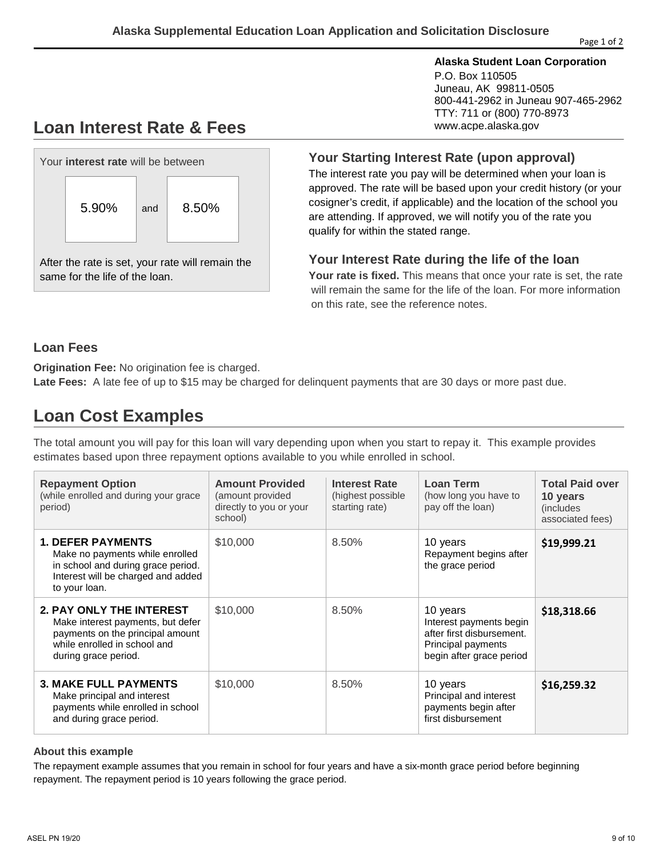#### **Alaska Student Loan Corporation**

P.O. Box 110505 Juneau, AK 99811-0505 800-441-2962 in Juneau 907-465-2962 TTY: 711 or (800) 770-8973 www.acpe.alaska.gov

# **Loan Interest Rate & Fees**



After the rate is set, your rate will remain the same for the life of the loan.

#### **Your Starting Interest Rate (upon approval)**

The interest rate you pay will be determined when your loan is approved. The rate will be based upon your credit history (or your cosigner's credit, if applicable) and the location of the school you are attending. If approved, we will notify you of the rate you qualify for within the stated range.

### **Your Interest Rate during the life of the loan**

**Your rate is fixed.** This means that once your rate is set, the rate will remain the same for the life of the loan. For more information on this rate, see the reference notes.

### **Loan Fees**

**Origination Fee:** No origination fee is charged.

**Late Fees:** A late fee of up to \$15 may be charged for delinquent payments that are 30 days or more past due.

# **Loan Cost Examples**

The total amount you will pay for this loan will vary depending upon when you start to repay it. This example provides estimates based upon three repayment options available to you while enrolled in school.

| <b>Repayment Option</b><br>(while enrolled and during your grace<br>period)                                                                                      | <b>Amount Provided</b><br>(amount provided<br>directly to you or your<br>school) | <b>Interest Rate</b><br>(highest possible)<br>starting rate) | Loan Term<br>(how long you have to<br>pay off the loan)                                                            | <b>Total Paid over</b><br>10 years<br>(includes)<br>associated fees) |
|------------------------------------------------------------------------------------------------------------------------------------------------------------------|----------------------------------------------------------------------------------|--------------------------------------------------------------|--------------------------------------------------------------------------------------------------------------------|----------------------------------------------------------------------|
| <b>1. DEFER PAYMENTS</b><br>Make no payments while enrolled<br>in school and during grace period.<br>Interest will be charged and added<br>to your loan.         | \$10,000                                                                         | 8.50%                                                        | 10 years<br>Repayment begins after<br>the grace period                                                             | \$19,999.21                                                          |
| <b>2. PAY ONLY THE INTEREST</b><br>Make interest payments, but defer<br>payments on the principal amount<br>while enrolled in school and<br>during grace period. | \$10,000                                                                         | 8.50%                                                        | 10 years<br>Interest payments begin<br>after first disbursement.<br>Principal payments<br>begin after grace period | \$18,318.66                                                          |
| <b>3. MAKE FULL PAYMENTS</b><br>Make principal and interest<br>payments while enrolled in school<br>and during grace period.                                     | \$10,000                                                                         | 8.50%                                                        | 10 years<br>Principal and interest<br>payments begin after<br>first disbursement                                   | \$16,259.32                                                          |

#### **About this example**

The repayment example assumes that you remain in school for four years and have a six-month grace period before beginning repayment. The repayment period is 10 years following the grace period.